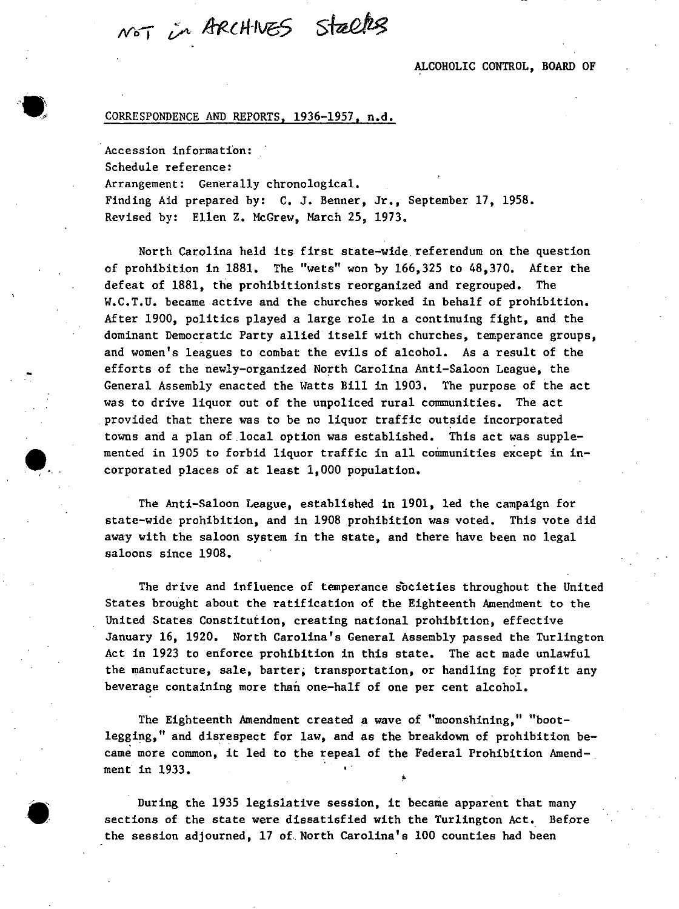# NOT in ARCHIVES Stalles

#### ALCOHOLIC CONTROL, BOARD OF

#### CORRESPONDENCE AND REPORTS, 1936-1957, n.d •

**••** 

**••** 

. Accession information: Schedule reference: Arrangement: Generally chronological. Finding Aid prepared by: C. J. Benner, Jr., September 17, 1958. Revised by: Ellen Z. McGrew, March 25, 1973.

North Carolina held its first state-wide referendum on the question of prohibition in 1881. The "wets" won by 166,325 to 48,370. Mter the defeat of 1881, the prohibitionists reorganized and regrouped. The W.C.T.U. became active and the churches worked in behalf of prohibition. Mter 1900, politics played a large role in a continuing fight, and the dominant Democratic Party allied itself with churches, temperance groups, and women's leagues to combat the evils of alcohol. As a result of the efforts of the newly-organized North Carolina Anti-Saloon League, the General Assembly enacted the Watts Bill in 1903. The purpose of the act was to drive liquor out of the unpoliced rural communities. The act provided that there was to be no liquor traffic outside incorporated towns and a plan of local option was established. This act was supplemented in 1905 to forbid liquor traffic in all communities except in incorporated places of at least 1,000 population.

The Anti-Saloon League, established in 1901, led the campaign for state-wide prohibition, and in 1908 prohibition was voted. This vote did away with the saloon system in the state, and there have been no legal saloons since 1908.

The drive and influence of temperance societies throughout the United States brought about the ratification of the Eighteenth Amendment to the United States Constitution, creating national prohibition, effective January 16, 1920. North Carolina's General Assembly passed the Turlington Act in 1923 to enforce prohibition in this state. The act made unlawful the manufacture, sale, barter; transportation, or handling for profit any beverage containing more than one-half of one per cent alcohol.

The Eighteenth Amendment created a wave of "moonshining," "bootlegging," and disrespect for law, and as the breakdown of prohibition became more common, it led to the repeal of the Federal Prohibition Amend-. ment in 1933.

During the 1935 legislative session, it became apparent that many sections of the state were dissatisfied with the Turlington Act. Before the session adjourned, 17 of. North Carolina's 100 counties had been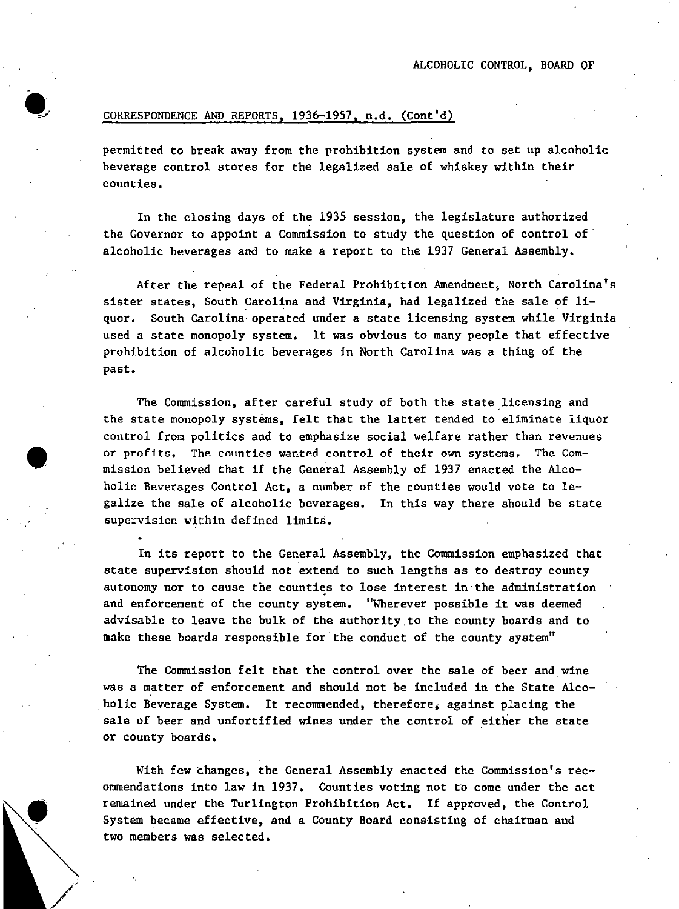#### $CORRESPONDENCE AND REPORTS, 1936-1957, n.d. (Cont'd)$

•

/

permitted to break away from the prohibition system and to set up alcoholic beverage control stores for the legalized sale of whiskey within their counties.

In the closing days of the 1935 session, the legislature authorized the Governor to appoint a Commission to study the question of control of· alcoholic beverages and to make a report to the 1937 General Assembly.

After the repeal of the Federal Prohibition Amendment, North Carolina's sister states, South Carolina and Virginia, had legalized the sale of liquor. South Carolina· operated under a state licensing system while Virginia used a state monopoly system. It was obvious to many people that effective prohibition of alcoholic beverages in North Carolina was a thing of the past.

The Commission, after careful study of both the state licensing and the state monopoly systems, felt that the latter tended to eliminate liquor control from politics and to emphasize social welfare rather than revenues or profits. The counties wanted control of their own systems. The Commission believed that if the General Assembly of 1937 enacted the Alcoholic Beverages Control Act, a number of the counties would vote to legalize the sale of alcoholic beverages. In this way there should be state supervision within defined limits.

In its report to the General Assembly, the Commission emphasized that state supervision should not extend to such lengths as to destroy county autonomy nor to cause the counties to lose interest in the administration and enforcement of the county system. "Wherever possible it was deemed advisable to leave the bulk of the authority.to the county boards and to make these boards responsible for the conduct of the county system"

The Commission felt that the control over the sale of beer and wine was a matter of enforcement and should not be included in the State Alcoholic Beverage System. It recommended, therefore; against placing the sale of beer and unfortified wines under the control of either the state or county boards.

With few changes, the General Assembly enacted the Commission's recommendations into law in 1937. Counties voting not to come under the act remained under the Turlington Prohibition Act. If approved, the Control System became effective, and a County Board consisting of chairman and two members was selected.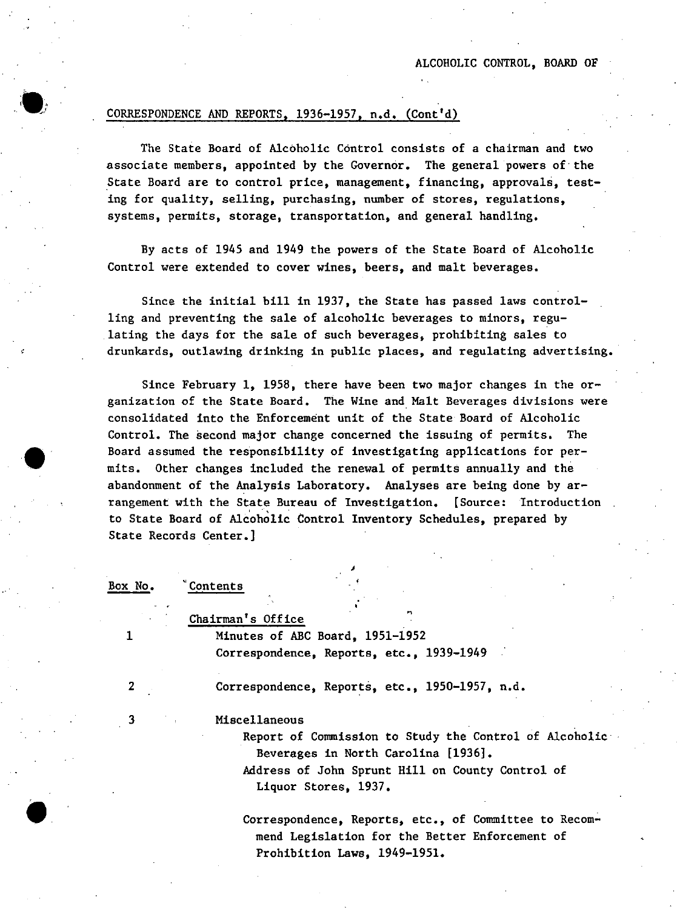### CORRESPONDENCE AND REPORTS, 1936-1957, n.d. (Cont'd)

;.~, -. J"

 $\bullet$ 

The State Board of Alcoholic Control consists of a chairman and two associate members, appointed by the Governor. The general powers of'the State Board are to control price, management, financing, approvals, testing for quality, selling, purchasing, number of stores, regulations, systems, permits, storage, transportation, and general handling.

By acts of 1945 and 1949 the powers of the State Board of Alcoholic Control were extended to cover wines, beers, and malt beverages.

Since the initial bill in 1937, the State has passed laws controlling and preventing the sale of alcoholic beverages to minors, regulating the days for the sale of such beverages, prohibiting sales to drunkards, outlawing drinking in public places, and regulating advertising.

Since February 1, 1958, there have been two major changes in the organization of the State Board. The Wine and Malt Beverages divisions were consolidated into the Enforcement unit of the State Board of Alcoholic Control. The second major change concerned the issuing of permits. The Board assumed the responsibility of investigating applications for permits. Other changes included the renewal of permits annually and the abandonment of the Analysis Laboratory. Analyses are being done by arrangement with the State Bureau of Investigation. [Source: Introduction to State Board of Alcoholic Control Inventory Schedules, prepared by State Records Center.]

| Box No. | Contents                                               |
|---------|--------------------------------------------------------|
|         |                                                        |
|         | m.<br>Chairman's Office                                |
| 1       | Minutes of ABC Board, 1951-1952                        |
|         | Correspondence, Reports, etc., 1939-1949               |
| 2       | Correspondence, Reports, etc., 1950-1957, n.d.         |
|         | Miscellaneous                                          |
|         | Report of Commission to Study the Control of Alcoholic |
|         | Beverages in North Carolina [1936].                    |
|         | Address of John Sprunt Hill on County Control of       |
|         | Liquor Stores, 1937.                                   |
|         | Correspondence, Reports, etc., of Committee to Recom-  |
|         | mend Legislation for the Better Enforcement of         |
|         | Prohibition Laws, 1949-1951.                           |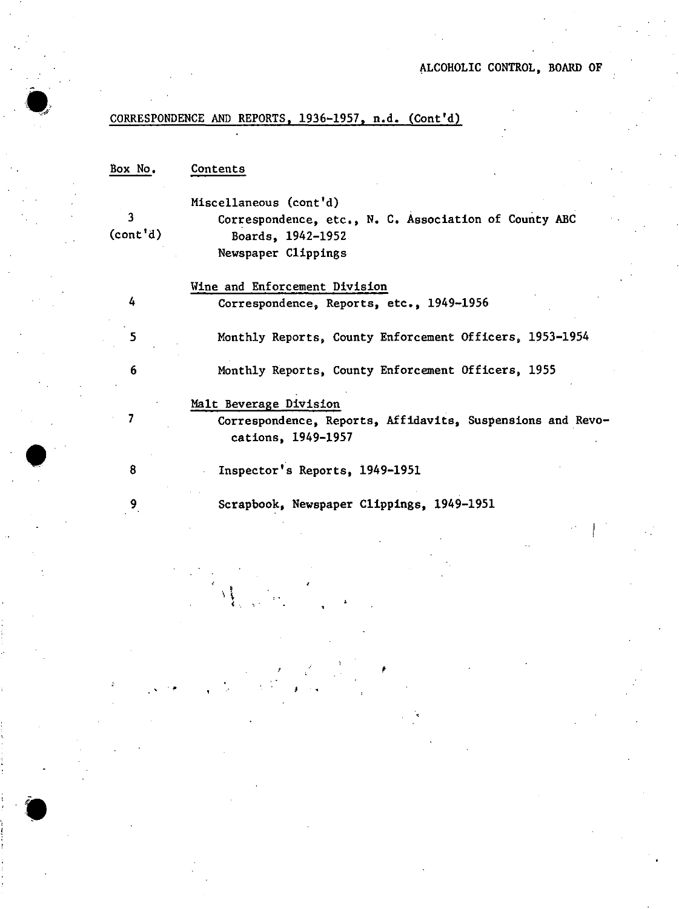# CORRESPONDENCE AND REPORTS, 1936-1957, n.d. (Cont'd)

| Box No. | Contents |
|---------|----------|
|         |          |

3 (cont'd)

4

5

6

7

8

9

**".** I, "\_0;,;"'

•

•<br>•<br>•

Miscellaneous (cont'd) Correspondence, etc., N. C. Association of County ABC Boards, 1942-1952 Newspaper Clippings

Wine and Enforcement Division Correspondence, Reports, etc., 1949-1956

Monthly Reports, County Enforcement Officers, 1953-1954

Monthly Reports, County Enforcement Officers, 1955

Malt Beverage Division

Correspondence, Reports, Affidavits, Suspensions and Revocations, 1949-1957

Inspector's Reports, 1949-1951

Scrapbook, Newspaper Clippings, 1949-1951

I